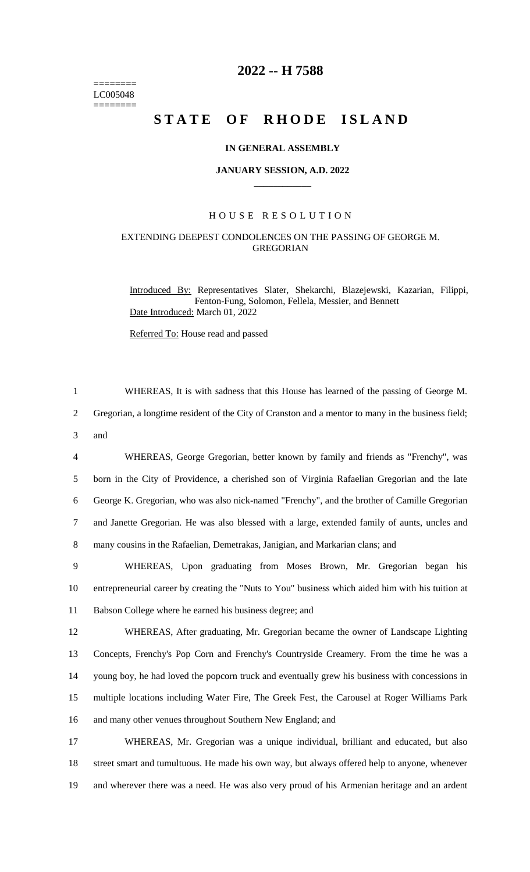======== LC005048  $=$ 

# **2022 -- H 7588**

# **STATE OF RHODE ISLAND**

# **IN GENERAL ASSEMBLY**

### **JANUARY SESSION, A.D. 2022 \_\_\_\_\_\_\_\_\_\_\_\_**

# H O U S E R E S O L U T I O N

# EXTENDING DEEPEST CONDOLENCES ON THE PASSING OF GEORGE M. GREGORIAN

Introduced By: Representatives Slater, Shekarchi, Blazejewski, Kazarian, Filippi, Fenton-Fung, Solomon, Fellela, Messier, and Bennett Date Introduced: March 01, 2022

Referred To: House read and passed

| $\mathbf{1}$   | WHEREAS, It is with sadness that this House has learned of the passing of George M.                |
|----------------|----------------------------------------------------------------------------------------------------|
| $\overline{2}$ | Gregorian, a longtime resident of the City of Cranston and a mentor to many in the business field; |
| 3              | and                                                                                                |
| $\overline{4}$ | WHEREAS, George Gregorian, better known by family and friends as "Frenchy", was                    |
| 5              | born in the City of Providence, a cherished son of Virginia Rafaelian Gregorian and the late       |
| 6              | George K. Gregorian, who was also nick-named "Frenchy", and the brother of Camille Gregorian       |
| $\tau$         | and Janette Gregorian. He was also blessed with a large, extended family of aunts, uncles and      |
| 8              | many cousins in the Rafaelian, Demetrakas, Janigian, and Markarian clans; and                      |
| 9              | WHEREAS, Upon graduating from Moses Brown, Mr. Gregorian began his                                 |
| 10             | entrepreneurial career by creating the "Nuts to You" business which aided him with his tuition at  |
| 11             | Babson College where he earned his business degree; and                                            |
| 12             | WHEREAS, After graduating, Mr. Gregorian became the owner of Landscape Lighting                    |
| 13             | Concepts, Frenchy's Pop Corn and Frenchy's Countryside Creamery. From the time he was a            |
| 14             | young boy, he had loved the popcorn truck and eventually grew his business with concessions in     |
| 15             | multiple locations including Water Fire, The Greek Fest, the Carousel at Roger Williams Park       |
| 16             | and many other venues throughout Southern New England; and                                         |
| 17             | WHEREAS, Mr. Gregorian was a unique individual, brilliant and educated, but also                   |
| 18             | street smart and tumultuous. He made his own way, but always offered help to anyone, whenever      |
|                |                                                                                                    |

19 and wherever there was a need. He was also very proud of his Armenian heritage and an ardent